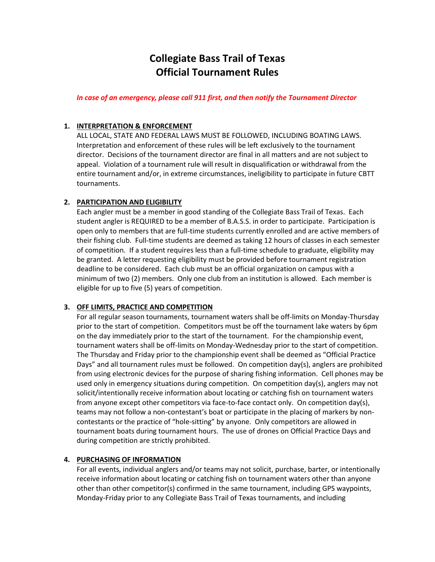# **Collegiate Bass Trail of Texas Official Tournament Rules**

*In case of an emergency, please call 911 first, and then notify the Tournament Director*

# **1. INTERPRETATION & ENFORCEMENT**

ALL LOCAL, STATE AND FEDERAL LAWS MUST BE FOLLOWED, INCLUDING BOATING LAWS. Interpretation and enforcement of these rules will be left exclusively to the tournament director. Decisions of the tournament director are final in all matters and are not subject to appeal. Violation of a tournament rule will result in disqualification or withdrawal from the entire tournament and/or, in extreme circumstances, ineligibility to participate in future CBTT tournaments.

# **2. PARTICIPATION AND ELIGIBILITY**

Each angler must be a member in good standing of the Collegiate Bass Trail of Texas. Each student angler is REQUIRED to be a member of B.A.S.S. in order to participate. Participation is open only to members that are full-time students currently enrolled and are active members of their fishing club. Full-time students are deemed as taking 12 hours of classes in each semester of competition. If a student requires less than a full-time schedule to graduate, eligibility may be granted. A letter requesting eligibility must be provided before tournament registration deadline to be considered. Each club must be an official organization on campus with a minimum of two (2) members. Only one club from an institution is allowed. Each member is eligible for up to five (5) years of competition.

# **3. OFF LIMITS, PRACTICE AND COMPETITION**

For all regular season tournaments, tournament waters shall be off-limits on Monday-Thursday prior to the start of competition. Competitors must be off the tournament lake waters by 6pm on the day immediately prior to the start of the tournament. For the championship event, tournament waters shall be off-limits on Monday-Wednesday prior to the start of competition. The Thursday and Friday prior to the championship event shall be deemed as "Official Practice Days" and all tournament rules must be followed. On competition day(s), anglers are prohibited from using electronic devices for the purpose of sharing fishing information. Cell phones may be used only in emergency situations during competition. On competition day(s), anglers may not solicit/intentionally receive information about locating or catching fish on tournament waters from anyone except other competitors via face-to-face contact only. On competition day(s), teams may not follow a non-contestant's boat or participate in the placing of markers by noncontestants or the practice of "hole-sitting" by anyone. Only competitors are allowed in tournament boats during tournament hours. The use of drones on Official Practice Days and during competition are strictly prohibited.

# **4. PURCHASING OF INFORMATION**

For all events, individual anglers and/or teams may not solicit, purchase, barter, or intentionally receive information about locating or catching fish on tournament waters other than anyone other than other competitor(s) confirmed in the same tournament, including GPS waypoints, Monday-Friday prior to any Collegiate Bass Trail of Texas tournaments, and including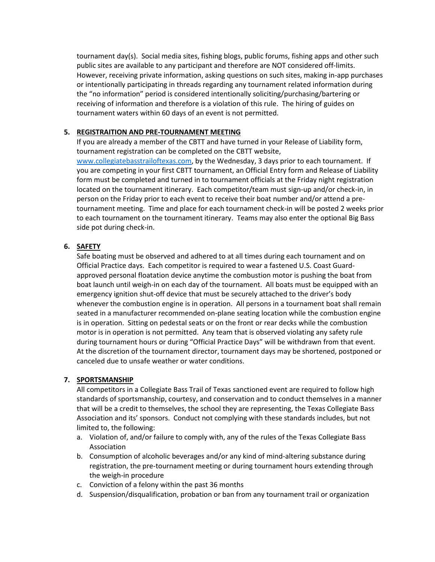tournament day(s). Social media sites, fishing blogs, public forums, fishing apps and other such public sites are available to any participant and therefore are NOT considered off-limits. However, receiving private information, asking questions on such sites, making in-app purchases or intentionally participating in threads regarding any tournament related information during the "no information" period is considered intentionally soliciting/purchasing/bartering or receiving of information and therefore is a violation of this rule. The hiring of guides on tournament waters within 60 days of an event is not permitted.

# **5. REGISTRAITION AND PRE-TOURNAMENT MEETING**

If you are already a member of the CBTT and have turned in your Release of Liability form, tournament registration can be completed on the CBTT website, [www.collegiatebasstrailoftexas.com,](http://www.collegiatebasstrailoftexas.com/) by the Wednesday, 3 days prior to each tournament. If you are competing in your first CBTT tournament, an Official Entry form and Release of Liability form must be completed and turned in to tournament officials at the Friday night registration located on the tournament itinerary. Each competitor/team must sign-up and/or check-in, in person on the Friday prior to each event to receive their boat number and/or attend a pretournament meeting. Time and place for each tournament check-in will be posted 2 weeks prior to each tournament on the tournament itinerary. Teams may also enter the optional Big Bass side pot during check-in.

# **6. SAFETY**

Safe boating must be observed and adhered to at all times during each tournament and on Official Practice days. Each competitor is required to wear a fastened U.S. Coast Guardapproved personal floatation device anytime the combustion motor is pushing the boat from boat launch until weigh-in on each day of the tournament. All boats must be equipped with an emergency ignition shut-off device that must be securely attached to the driver's body whenever the combustion engine is in operation. All persons in a tournament boat shall remain seated in a manufacturer recommended on-plane seating location while the combustion engine is in operation. Sitting on pedestal seats or on the front or rear decks while the combustion motor is in operation is not permitted. Any team that is observed violating any safety rule during tournament hours or during "Official Practice Days" will be withdrawn from that event. At the discretion of the tournament director, tournament days may be shortened, postponed or canceled due to unsafe weather or water conditions.

# **7. SPORTSMANSHIP**

All competitors in a Collegiate Bass Trail of Texas sanctioned event are required to follow high standards of sportsmanship, courtesy, and conservation and to conduct themselves in a manner that will be a credit to themselves, the school they are representing, the Texas Collegiate Bass Association and its' sponsors. Conduct not complying with these standards includes, but not limited to, the following:

- a. Violation of, and/or failure to comply with, any of the rules of the Texas Collegiate Bass Association
- b. Consumption of alcoholic beverages and/or any kind of mind-altering substance during registration, the pre-tournament meeting or during tournament hours extending through the weigh-in procedure
- c. Conviction of a felony within the past 36 months
- d. Suspension/disqualification, probation or ban from any tournament trail or organization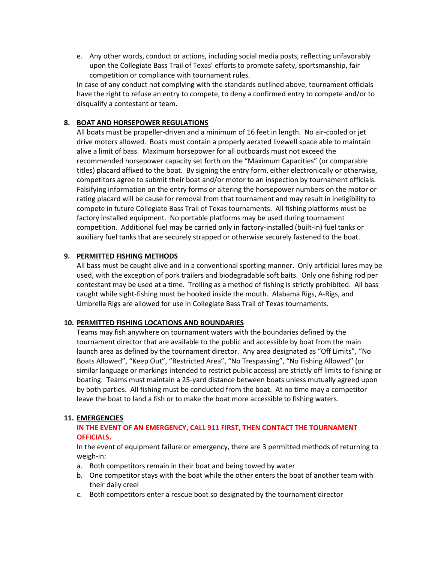e. Any other words, conduct or actions, including social media posts, reflecting unfavorably upon the Collegiate Bass Trail of Texas' efforts to promote safety, sportsmanship, fair competition or compliance with tournament rules.

In case of any conduct not complying with the standards outlined above, tournament officials have the right to refuse an entry to compete, to deny a confirmed entry to compete and/or to disqualify a contestant or team.

# **8. BOAT AND HORSEPOWER REGULATIONS**

All boats must be propeller-driven and a minimum of 16 feet in length. No air-cooled or jet drive motors allowed. Boats must contain a properly aerated livewell space able to maintain alive a limit of bass. Maximum horsepower for all outboards must not exceed the recommended horsepower capacity set forth on the "Maximum Capacities" (or comparable titles) placard affixed to the boat. By signing the entry form, either electronically or otherwise, competitors agree to submit their boat and/or motor to an inspection by tournament officials. Falsifying information on the entry forms or altering the horsepower numbers on the motor or rating placard will be cause for removal from that tournament and may result in ineligibility to compete in future Collegiate Bass Trail of Texas tournaments. All fishing platforms must be factory installed equipment. No portable platforms may be used during tournament competition. Additional fuel may be carried only in factory-installed (built-in) fuel tanks or auxiliary fuel tanks that are securely strapped or otherwise securely fastened to the boat.

# **9. PERMITTED FISHING METHODS**

All bass must be caught alive and in a conventional sporting manner. Only artificial lures may be used, with the exception of pork trailers and biodegradable soft baits. Only one fishing rod per contestant may be used at a time. Trolling as a method of fishing is strictly prohibited. All bass caught while sight-fishing must be hooked inside the mouth. Alabama Rigs, A-Rigs, and Umbrella Rigs are allowed for use in Collegiate Bass Trail of Texas tournaments.

# **10. PERMITTED FISHING LOCATIONS AND BOUNDARIES**

Teams may fish anywhere on tournament waters with the boundaries defined by the tournament director that are available to the public and accessible by boat from the main launch area as defined by the tournament director. Any area designated as "Off Limits", "No Boats Allowed", "Keep Out", "Restricted Area", "No Trespassing", "No Fishing Allowed" (or similar language or markings intended to restrict public access) are strictly off limits to fishing or boating. Teams must maintain a 25-yard distance between boats unless mutually agreed upon by both parties. All fishing must be conducted from the boat. At no time may a competitor leave the boat to land a fish or to make the boat more accessible to fishing waters.

#### **11. EMERGENCIES**

# **IN THE EVENT OF AN EMERGENCY, CALL 911 FIRST, THEN CONTACT THE TOURNAMENT OFFICIALS.**

In the event of equipment failure or emergency, there are 3 permitted methods of returning to weigh-in:

- a. Both competitors remain in their boat and being towed by water
- b. One competitor stays with the boat while the other enters the boat of another team with their daily creel
- c. Both competitors enter a rescue boat so designated by the tournament director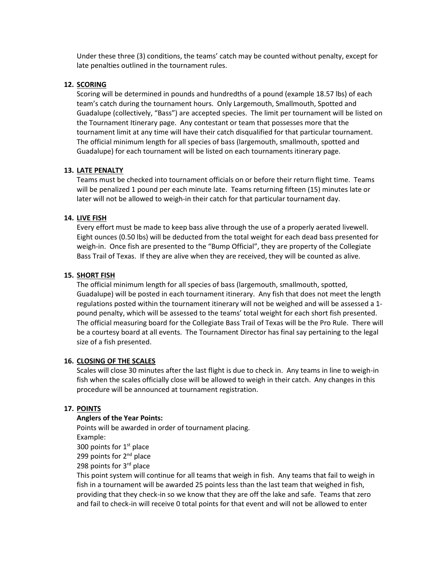Under these three (3) conditions, the teams' catch may be counted without penalty, except for late penalties outlined in the tournament rules.

## **12. SCORING**

Scoring will be determined in pounds and hundredths of a pound (example 18.57 lbs) of each team's catch during the tournament hours. Only Largemouth, Smallmouth, Spotted and Guadalupe (collectively, "Bass") are accepted species. The limit per tournament will be listed on the Tournament Itinerary page. Any contestant or team that possesses more that the tournament limit at any time will have their catch disqualified for that particular tournament. The official minimum length for all species of bass (largemouth, smallmouth, spotted and Guadalupe) for each tournament will be listed on each tournaments itinerary page.

# **13. LATE PENALTY**

Teams must be checked into tournament officials on or before their return flight time. Teams will be penalized 1 pound per each minute late. Teams returning fifteen (15) minutes late or later will not be allowed to weigh-in their catch for that particular tournament day.

### **14. LIVE FISH**

Every effort must be made to keep bass alive through the use of a properly aerated livewell. Eight ounces (0.50 lbs) will be deducted from the total weight for each dead bass presented for weigh-in. Once fish are presented to the "Bump Official", they are property of the Collegiate Bass Trail of Texas. If they are alive when they are received, they will be counted as alive.

### **15. SHORT FISH**

The official minimum length for all species of bass (largemouth, smallmouth, spotted, Guadalupe) will be posted in each tournament itinerary. Any fish that does not meet the length regulations posted within the tournament itinerary will not be weighed and will be assessed a 1 pound penalty, which will be assessed to the teams' total weight for each short fish presented. The official measuring board for the Collegiate Bass Trail of Texas will be the Pro Rule. There will be a courtesy board at all events. The Tournament Director has final say pertaining to the legal size of a fish presented.

#### **16. CLOSING OF THE SCALES**

Scales will close 30 minutes after the last flight is due to check in. Any teams in line to weigh-in fish when the scales officially close will be allowed to weigh in their catch. Any changes in this procedure will be announced at tournament registration.

# **17. POINTS**

### **Anglers of the Year Points:**

Points will be awarded in order of tournament placing. Example:

300 points for  $1<sup>st</sup>$  place

299 points for 2<sup>nd</sup> place

298 points for  $3<sup>rd</sup>$  place

This point system will continue for all teams that weigh in fish. Any teams that fail to weigh in fish in a tournament will be awarded 25 points less than the last team that weighed in fish, providing that they check-in so we know that they are off the lake and safe. Teams that zero and fail to check-in will receive 0 total points for that event and will not be allowed to enter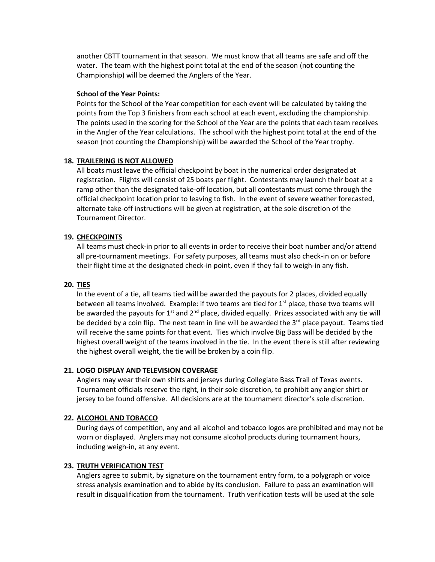another CBTT tournament in that season. We must know that all teams are safe and off the water. The team with the highest point total at the end of the season (not counting the Championship) will be deemed the Anglers of the Year.

#### **School of the Year Points:**

Points for the School of the Year competition for each event will be calculated by taking the points from the Top 3 finishers from each school at each event, excluding the championship. The points used in the scoring for the School of the Year are the points that each team receives in the Angler of the Year calculations. The school with the highest point total at the end of the season (not counting the Championship) will be awarded the School of the Year trophy.

# **18. TRAILERING IS NOT ALLOWED**

All boats must leave the official checkpoint by boat in the numerical order designated at registration. Flights will consist of 25 boats per flight. Contestants may launch their boat at a ramp other than the designated take-off location, but all contestants must come through the official checkpoint location prior to leaving to fish. In the event of severe weather forecasted, alternate take-off instructions will be given at registration, at the sole discretion of the Tournament Director.

# **19. CHECKPOINTS**

All teams must check-in prior to all events in order to receive their boat number and/or attend all pre-tournament meetings. For safety purposes, all teams must also check-in on or before their flight time at the designated check-in point, even if they fail to weigh-in any fish.

## **20. TIES**

In the event of a tie, all teams tied will be awarded the payouts for 2 places, divided equally between all teams involved. Example: if two teams are tied for  $1<sup>st</sup>$  place, those two teams will be awarded the payouts for  $1^{st}$  and  $2^{nd}$  place, divided equally. Prizes associated with any tie will be decided by a coin flip. The next team in line will be awarded the  $3<sup>rd</sup>$  place payout. Teams tied will receive the same points for that event. Ties which involve Big Bass will be decided by the highest overall weight of the teams involved in the tie. In the event there is still after reviewing the highest overall weight, the tie will be broken by a coin flip.

#### **21. LOGO DISPLAY AND TELEVISION COVERAGE**

Anglers may wear their own shirts and jerseys during Collegiate Bass Trail of Texas events. Tournament officials reserve the right, in their sole discretion, to prohibit any angler shirt or jersey to be found offensive. All decisions are at the tournament director's sole discretion.

#### **22. ALCOHOL AND TOBACCO**

During days of competition, any and all alcohol and tobacco logos are prohibited and may not be worn or displayed. Anglers may not consume alcohol products during tournament hours, including weigh-in, at any event.

#### **23. TRUTH VERIFICATION TEST**

Anglers agree to submit, by signature on the tournament entry form, to a polygraph or voice stress analysis examination and to abide by its conclusion. Failure to pass an examination will result in disqualification from the tournament. Truth verification tests will be used at the sole